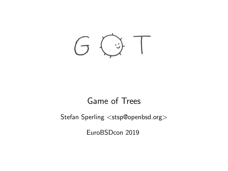<span id="page-0-0"></span> $( \tau (\cdot )$ 

#### Game of Trees

#### Stefan Sperling <stsp@openbsd.org>

EuroBSDcon 2019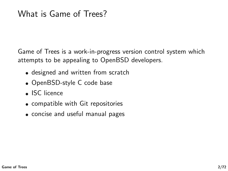Game of Trees is a work-in-progress version control system which attempts to be appealing to OpenBSD developers.

- designed and written from scratch
- OpenBSD-style C code base
- ISC licence
- compatible with Git repositories
- concise and useful manual pages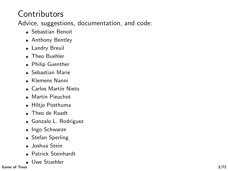# **Contributors**

Advice, suggestions, documentation, and code:

- Sebastian Benoit
- Anthony Bentley
- Landry Breuil
- **Theo Buehler**
- Philip Guenther
- Sebastian Marie
- Klemens Nanni
- Carlos Martín Nieto
- **Martin Pieuchot**
- Hiltjo Posthuma
- Theo de Raadt
- Gonzalo L. Rodriguez
- Ingo Schwarze
- Stefan Sperling
- Joshua Stein
- Patrick Steinhardt
- Uwe Stuehler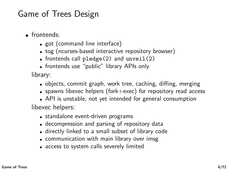### Game of Trees Design

- frontends:
	- got (command line interface)
	- tog (ncurses-based interactive repository browser)
	- $\bullet$  frontends call pledge(2) and unveil(2)
	- frontends use "public" library APIs only

library:

- objects, commit graph, work tree, caching, diffing, merging
- spawns libexec helpers (fork+exec) for repository read access
- API is unstable; not yet intended for general consumption libexec helpers:
	- standalone event-driven programs
	- decompression and parsing of repository data
	- directly linked to a small subset of library code
	- communication with main library over imsg
	- access to system calls severely limited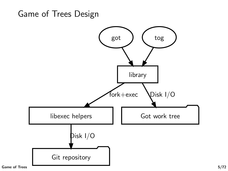#### Game of Trees Design

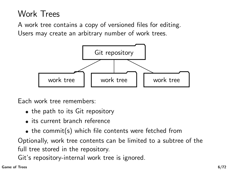# Work Trees

A work tree contains a copy of versioned files for editing. Users may create an arbitrary number of work trees.



Each work tree remembers:

- the path to its Git repository
- its current branch reference
- $\bullet$  the commit(s) which file contents were fetched from

Optionally, work tree contents can be limited to a subtree of the full tree stored in the repository.

Git's repository-internal work tree is ignored.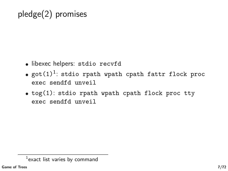# pledge(2) promises

- libexec helpers: stdio recvfd
- $\textnormal{\textsf{got}}(1)^1$ : stdio rpath wpath cpath fattr flock proc exec sendfd unveil
- tog(1): stdio rpath wpath cpath flock proc tty exec sendfd unveil

 $^1$ exact list varies by command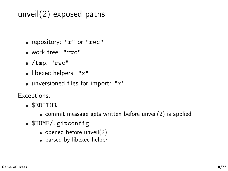# unveil(2) exposed paths

- repository: "r" or "rwc"
- work tree: "rwc"
- $\bullet$  /tmp: "rwc"
- libexec helpers: "x"
- unversioned files for import: "r"

Exceptions:

- \$EDITOR
	- commit message gets written before unveil(2) is applied
- \$HOME/.gitconfig
	- $\bullet$  opened before unveil(2)
	- parsed by libexec helper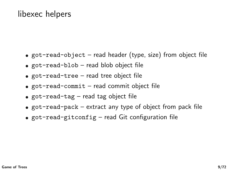#### libexec helpers

- got-read-object read header (type, size) from object file
- got-read-blob read blob object file
- got-read-tree read tree object file
- $\bullet$  got-read-commit read commit object file
- $\bullet$  got-read-tag read tag object file
- $\bullet$  got-read-pack extract any type of object from pack file
- $\bullet$  got-read-gitconfig read Git configuration file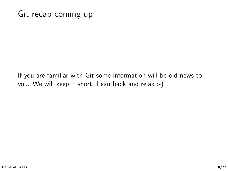#### Git recap coming up

If you are familiar with Git some information will be old news to you. We will keep it short. Lean back and relax :-)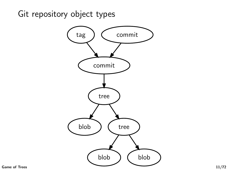Git repository object types

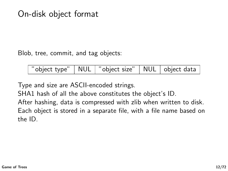#### On-disk object format

Blob, tree, commit, and tag objects:

| "object type"   NUL   "object size"   NUL   object data |  |  |
|---------------------------------------------------------|--|--|
|                                                         |  |  |

Type and size are ASCII-encoded strings.

SHA1 hash of all the above constitutes the object's ID.

After hashing, data is compressed with zlib when written to disk. Each object is stored in a separate file, with a file name based on the ID.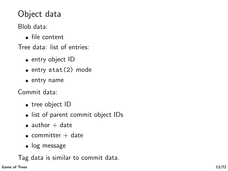# Object data

Blob data:

• file content

Tree data: list of entries:

- $\bullet$  entry object ID
- $\bullet$  entry stat(2) mode
- entry name

Commit data:

- tree object ID
- list of parent commit object IDs
- $\bullet$  author  $+$  date
- $\bullet$  committer  $+$  date
- log message

Tag data is similar to commit data.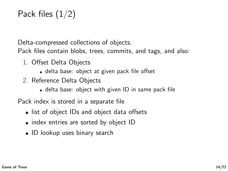# Pack files (1/2)

Delta-compressed collections of objects.

Pack files contain blobs, trees, commits, and tags, and also:

- 1. Offset Delta Objects
	- delta base: object at given pack file offset
- 2. Reference Delta Objects
	- delta base: object with given ID in same pack file

Pack index is stored in a separate file

- list of object IDs and object data offsets
- index entries are sorted by object ID
- ID lookup uses binary search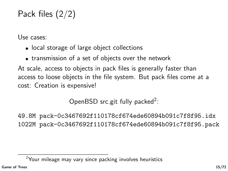# Pack files (2/2)

Use cases:

- local storage of large object collections
- transmission of a set of objects over the network

At scale, access to objects in pack files is generally faster than access to loose objects in the file system. But pack files come at a cost: Creation is expensive!

OpenBSD src.git fully packed<sup>2</sup>:

49.8M pack-0c3467692f110178cf674ede60894b091c7f8f95.idx 1022M pack-0c3467692f110178cf674ede60894b091c7f8f95.pack

<sup>&</sup>lt;sup>2</sup>Your mileage may vary since packing involves heuristics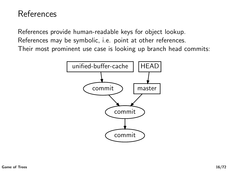### References

References provide human-readable keys for object lookup. References may be symbolic, i.e. point at other references. Their most prominent use case is looking up branch head commits:

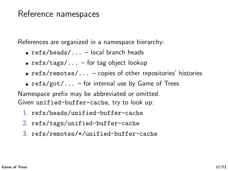#### Reference namespaces

References are organized in a namespace hierarchy:

- $\bullet$  refs/heads/... local branch heads
- $\text{refs}/\text{tags}/\ldots$  for tag object lookup
- $\text{refs}/\text{remotes}/\ldots$  copies of other repositories' histories
- $\text{refs/got}/...$  for internal use by Game of Trees

Namespace prefix may be abbreviated or omitted. Given unified-buffer-cache, try to look up:

- 1. refs/heads/unified-buffer-cache
- 2. refs/tags/unified-buffer-cache
- 3. refs/remotes/\*/unified-buffer-cache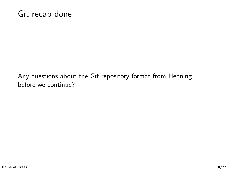#### Git recap done

Any questions about the Git repository format from Henning before we continue?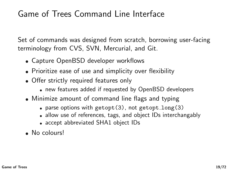### Game of Trees Command Line Interface

Set of commands was designed from scratch, borrowing user-facing terminology from CVS, SVN, Mercurial, and Git.

- Capture OpenBSD developer workflows
- Prioritize ease of use and simplicity over flexibility
- Offer strictly required features only
	- new features added if requested by OpenBSD developers
- Minimize amount of command line flags and typing
	- parse options with getopt  $(3)$ , not getopt long  $(3)$
	- allow use of references, tags, and object IDs interchangably
	- accept abbreviated SHA1 object IDs
- No colours!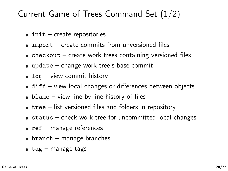### Current Game of Trees Command Set (1/2)

- $\bullet$  init create repositories
- $\bullet$  import create commits from unversioned files
- $\bullet$  checkout create work trees containing versioned files
- update change work tree's base commit
- $log -$  view commit history
- diff view local changes or differences between objects
- $\bullet$  blame view line-by-line history of files
- $\bullet$  tree list versioned files and folders in repository
- status check work tree for uncommitted local changes
- $\bullet$  ref manage references
- $\bullet$  branch manage branches
- $\bullet$  tag manage tags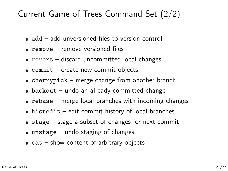### Current Game of Trees Command Set (2/2)

- add add unversioned files to version control
- remove remove versioned files
- revert discard uncommitted local changes
- commit create new commit objects
- cherrypick merge change from another branch
- $\bullet$  backout undo an already committed change
- $\bullet$  rebase merge local branches with incoming changes
- histedit edit commit history of local branches
- $\bullet$  stage stage a subset of changes for next commit
- $\bullet$  unstage undo staging of changes
- $\bullet$  cat show content of arbitrary objects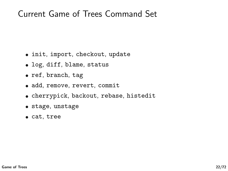#### Current Game of Trees Command Set

- init, import, checkout, update
- log, diff, blame, status
- ref, branch, tag
- add, remove, revert, commit
- cherrypick, backout, rebase, histedit
- stage, unstage
- cat, tree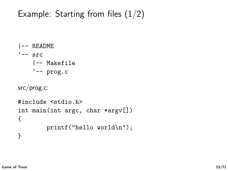# Example: Starting from files  $(1/2)$

```
|-- README
'=-\text{src}|-- Makefile
    '-- prog.c
src/prog.c:
#include <stdio.h>
int main(int argc, char *argv[])
{
         printf("hello world\n");
}
```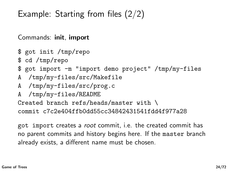Example: Starting from files (2/2)

Commands: init, import

\$ got init /tmp/repo

\$ cd /tmp/repo

\$ got import -m "import demo project" /tmp/my-files

- A /tmp/my-files/src/Makefile
- A /tmp/my-files/src/prog.c
- A /tmp/my-files/README

Created branch refs/heads/master with \

commit c7c2e404ffb0dd55cc34842431541fdd4f977a28

got import creates a root commit, i.e. the created commit has no parent commits and history begins here. If the master branch already exists, a different name must be chosen.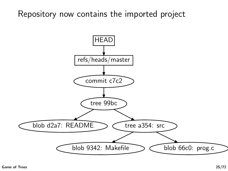Repository now contains the imported project

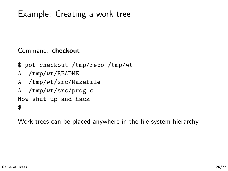# Example: Creating a work tree

Command: checkout

\$ got checkout /tmp/repo /tmp/wt A /tmp/wt/README A /tmp/wt/src/Makefile A /tmp/wt/src/prog.c Now shut up and hack \$

Work trees can be placed anywhere in the file system hierarchy.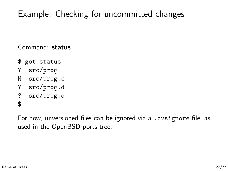# Example: Checking for uncommitted changes

Command: status

- \$ got status
- ? src/prog
- M src/prog.c
- ? src/prog.d
- ? src/prog.o

\$

For now, unversioned files can be ignored via a .cvsignore file, as used in the OpenBSD ports tree.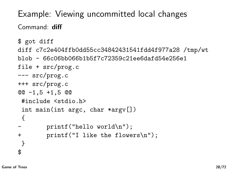Example: Viewing uncommitted local changes Command: diff

```
$ got diff
diff c7c2e404ffb0dd55cc34842431541fdd4f977a28 /tmp/wt
blob - 66c06bb066b1b5f7c72359c21ee6dafd54e256e1
file + src/prog.c
--- src/prog.c
+++ src/prog.c
@@ -1,5 +1,5 @@
 #include <stdio.h>
 int main(int argc, char *argv[])
 {
        print('hello world\nu');+ printf("I like the flowers\n");
}
$
```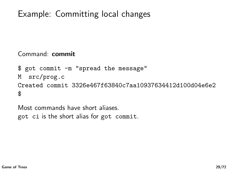# Example: Committing local changes

Command: commit

```
$ got commit -m "spread the message"
M src/prog.c
Created commit 3326e467f63840c7aa10937634412d100d04e6e2
$
```
Most commands have short aliases. got ci is the short alias for got commit.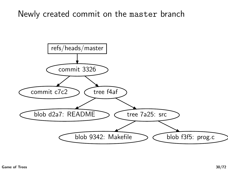#### Newly created commit on the master branch

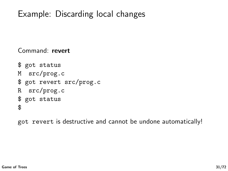### Example: Discarding local changes

Command: revert

\$ got status M src/prog.c \$ got revert src/prog.c R src/prog.c \$ got status \$

got revert is destructive and cannot be undone automatically!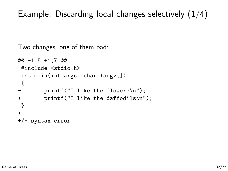### Example: Discarding local changes selectively  $(1/4)$

Two changes, one of them bad:

```
@@ -1,5 +1,7 @@
 #include <stdio.h>
 int main(int argc, char *argv[])
 {
       print("I like the flowers\n't');
+ printf("I like the daffodils\n");
}
+
+/* syntax error
```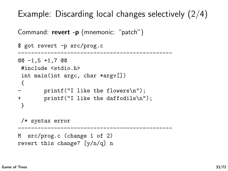Example: Discarding local changes selectively (2/4)

```
Command: revert -p (mnemonic: "patch")
```

```
$ got revert -p src/prog.c
-----------------------------------------------
@@ -1,5 +1,7 @@
 #include <stdio.h>
 int main(int argc, char *argv[])
 {
        print("I like the flowers\n't');
+ printf("I like the daffodils\n");
 }
 /* syntax error
              -----------------------------------------------
M src/prog.c (change 1 of 2)
revert this change? [y/n/q] n
```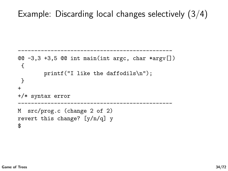### Example: Discarding local changes selectively (3/4)

-----------------------------------------------

```
@Q -3,3 +3,5 @Q int main(int argc, char *argv[])
 {
        printf("I like the daffodils\n");
}
+
+/* syntax error
-----------------------------------------------
M src/prog.c (change 2 of 2)
revert this change? [y/n/q] y
$
```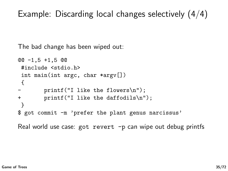### Example: Discarding local changes selectively (4/4)

The bad change has been wiped out:

```
@@ -1,5 +1,5 @@
 #include <stdio.h>
 int main(int argc, char *argv[])
 {
       print("I like the flowers\n't');
+ printf("I like the daffodils\n");
}
$ got commit -m 'prefer the plant genus narcissus'
```
Real world use case: got revert -p can wipe out debug printfs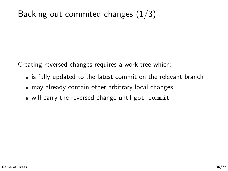# Backing out commited changes  $(1/3)$

Creating reversed changes requires a work tree which:

- is fully updated to the latest commit on the relevant branch
- may already contain other arbitrary local changes
- will carry the reversed change until got commit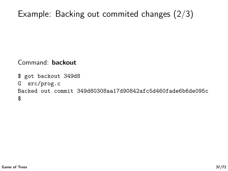# Example: Backing out commited changes (2/3)

Command: backout

```
$ got backout 349d8
G src/prog.c
Backed out commit 349d80308aa17d90842afc5d460fade6b6de095c
$
```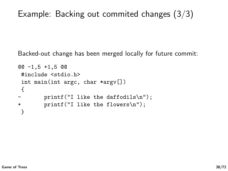# Example: Backing out commited changes (3/3)

Backed-out change has been merged locally for future commit:

```
@@ -1,5 +1,5 @@
#include <stdio.h>
int main(int argc, char *argv[])
{
- printf("I like the daffodils\n");
+ printf("I like the flowers\n");
}
```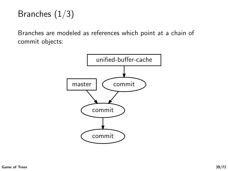# Branches (1/3)

Branches are modeled as references which point at a chain of commit objects:

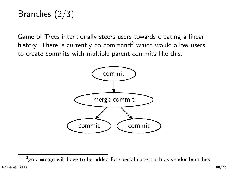# Branches (2/3)

Game of Trees intentionally steers users towards creating a linear history. There is currently no command<sup>3</sup> which would allow users to create commits with multiple parent commits like this:



 $^3$ got merge will have to be added for special cases such as vendor branches [Game of Trees](#page-0-0) 40/72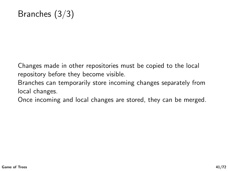Changes made in other repositories must be copied to the local repository before they become visible.

Branches can temporarily store incoming changes separately from local changes.

Once incoming and local changes are stored, they can be merged.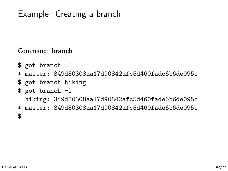# Example: Creating a branch

Command: branch

- \$ got branch -l
- \* master: 349d80308aa17d90842afc5d460fade6b6de095c
- \$ got branch hiking
- \$ got branch -l

hiking: 349d80308aa17d90842afc5d460fade6b6de095c

\* master: 349d80308aa17d90842afc5d460fade6b6de095c \$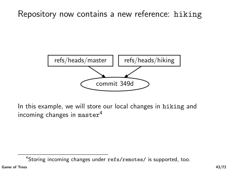#### Repository now contains a new reference: hiking



In this example, we will store our local changes in hiking and incoming changes in master<sup>4</sup>

<sup>&</sup>lt;sup>4</sup>Storing incoming changes under refs/remotes/ is supported, too.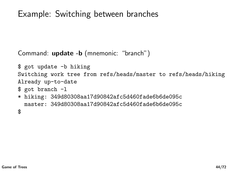# Example: Switching between branches

Command: update -b (mnemonic: "branch")

```
$ got update -b hiking
Switching work tree from refs/heads/master to refs/heads/hiking
Already up-to-date
$ got branch -l
* hiking: 349d80308aa17d90842afc5d460fade6b6de095c
  master: 349d80308aa17d90842afc5d460fade6b6de095c
$
```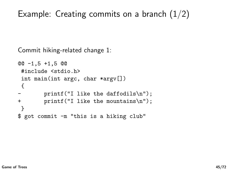# Example: Creating commits on a branch  $(1/2)$

```
Commit hiking-related change 1:
```

```
@@ -1,5 +1,5 @@
 #include <stdio.h>
 int main(int argc, char *argv[])
 {
        printf("I like the daffodils\langle n'' \rangle;
+ printf("I like the mountains\n");
}
$ got commit -m "this is a hiking club"
```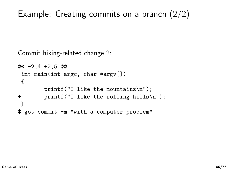# Example: Creating commits on a branch (2/2)

```
Commit hiking-related change 2:
```

```
@@ -2,4 +2,5 @@
int main(int argc, char *argv[])
{
       printf("I like the mountains\n");
+ printf("I like the rolling hills\n");
}
$ got commit -m "with a computer problem"
```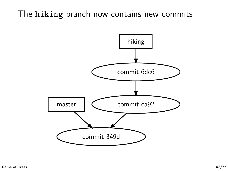### The hiking branch now contains new commits

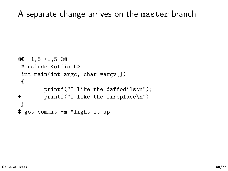A separate change arrives on the master branch

```
@@ -1,5 +1,5 @@
 #include <stdio.h>
 int main(int argc, char *argv[])
 {
       print("I like the deffodils\n'n");+ printf("I like the fireplace\n");
}
$ got commit -m "light it up"
```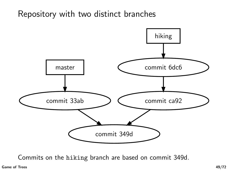Repository with two distinct branches



Commits on the hiking branch are based on commit 349d.

[Game of Trees](#page-0-0) 49/72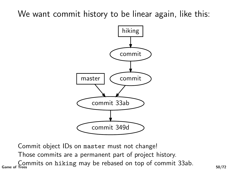### We want commit history to be linear again, like this:



Commit object IDs on master must not change! Those commits are a permanent part of project history.

 $\frac{\text{Commits on hiking may be rebased on top of commit 33ab.}}{50/72}$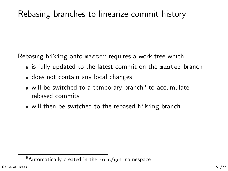### Rebasing branches to linearize commit history

Rebasing hiking onto master requires a work tree which:

- is fully updated to the latest commit on the master branch
- does not contain any local changes
- will be switched to a temporary branch<sup>5</sup> to accumulate rebased commits
- will then be switched to the rebased hiking branch

 $5$ Automatically created in the refs/got namespace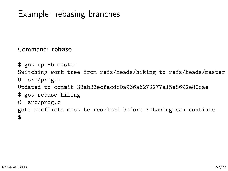#### Example: rebasing branches

Command: rebase

```
$ got up -b master
Switching work tree from refs/heads/hiking to refs/heads/master
U src/prog.c
Updated to commit 33ab33ecfacdc0a966a6272277a15e8692e80cae
$ got rebase hiking
C src/prog.c
got: conflicts must be resolved before rebasing can continue
$
```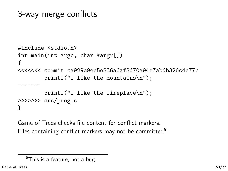# 3-way merge conflicts

```
#include <stdio.h>
int main(int argc, char *argv[])
{
<<<<<<< commit ca929e9ee5e836a6af8d70a94e7abdb326c4e77c
        printf("I like the mountains\n");
 =======
        printf("I like the fireplace\n");
>>>>>>> src/prog.c
}
```
Game of Trees checks file content for conflict markers. Files containing conflict markers may not be committed<sup>6</sup>.

 $6$ This is a feature, not a bug.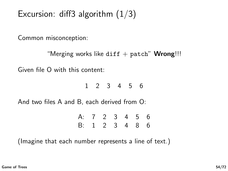# Excursion: diff3 algorithm  $(1/3)$

Common misconception:

```
"Merging works like diff + patch" Wrong!!!
```
Given file O with this content:

1 2 3 4 5 6

And two files A and B, each derived from O:

| A: 7 2 3 4 5 6 |  |  |  |
|----------------|--|--|--|
| B: 1 2 3 4 8 6 |  |  |  |

(Imagine that each number represents a line of text.)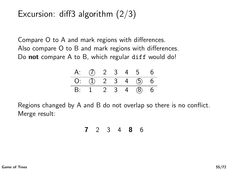### Excursion: diff3 algorithm  $(2/3)$

Compare O to A and mark regions with differences. Also compare O to B and mark regions with differences. Do **not** compare A to B, which regular diff would do!

| A: (7) 2 3 4 5 6     |  |  |  |
|----------------------|--|--|--|
| $O:$ (1) 2 3 4 (5) 6 |  |  |  |
| B: 1 2 3 4 $(8)$ 6   |  |  |  |

Regions changed by A and B do not overlap so there is no conflict. Merge result:

7 2 3 4 8 6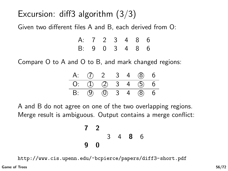# Excursion: diff3 algorithm  $(3/3)$

Given two different files A and B, each derived from O:

| A: 7 2 3 4 8 6 |  |  |  |
|----------------|--|--|--|
| B: 9 0 3 4 8 6 |  |  |  |

Compare O to A and O to B, and mark changed regions:

| A: (7) 2 3 4 (8) 6   |  |  |  |
|----------------------|--|--|--|
| 0: ① ② 3 4 ③ 6       |  |  |  |
| B: (9) (0) 3 4 (8) 6 |  |  |  |

A and B do not agree on one of the two overlapping regions. Merge result is ambiguous. Output contains a merge conflict:

$$
\begin{array}{cccc}\n7 & 2 \\
 & 3 & 4 & 8 & 6 \\
9 & 0 & & & \n\end{array}
$$

<http://www.cis.upenn.edu/~bcpierce/papers/diff3-short.pdf>

[Game of Trees](#page-0-0)  $56/72$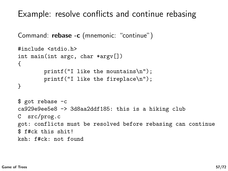Example: resolve conflicts and continue rebasing

```
Command: rebase -c (mnemonic: "continue")
```

```
#include <stdio.h>
int main(int argc, char *argv[])
{
        printf("I like the mountains\n");
        printf("I like the fireplace\n");
}
$ got rebase -c
ca929e9ee5e8 -> 3d8aa2ddf185: this is a hiking club
C src/prog.c
got: conflicts must be resolved before rebasing can continue
$ f#ck this shit!
ksh: f#ck: not found
```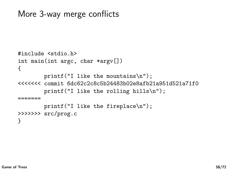#### More 3-way merge conflicts

```
#include <stdio.h>
int main(int argc, char *argv[])
{
        printf("I like the mountains\n");
<<<<<<< commit 6dc62c2c8c5b24483b02e8afb21a951d521a71f0
        printf("I like the rolling hills\n");
=======
        printf("I like the fireplace\n");
>>>>>>> src/prog.c
}
```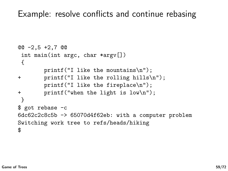#### Example: resolve conflicts and continue rebasing

```
@@ -2,5 +2,7 @@
int main(int argc, char *argv[])
{
       printf("I like the mountains\n");
+ printf("I like the rolling hills\n");
       printf("I like the fireplace\n");
+ printf("when the light is low\n");
}
$ got rebase -c
6dc62c2c8c5b -> 65070d4f62eb: with a computer problem
Switching work tree to refs/heads/hiking
$
```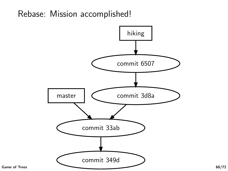#### Rebase: Mission accomplished!

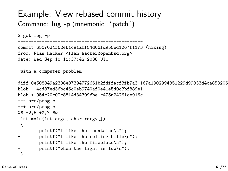#### Example: View rebased commit history Command:  $log -p$  (mnemonic: "patch")

```
$ got log -p
```

```
-----------------------------------------------
commit 65070d4f62eb1c91aff54d06fd955ed1067f1173 (hiking)
from: Flan Hacker <flan_hacker@openbsd.org>
date: Wed Sep 18 11:37:42 2038 UTC
```

```
with a computer problem
```

```
diff 0e508849a2308e87394772661b2fdffacf3fb7a3 167a1902994851229d99833d4ca853206539d393
blob - 4cd87ed36bc46c0eb9740af0e41e5d0c3bf889e1
blob + 954c20c02c8814d34309fbe1c475a24261ce916c
--- src/prog.c
+++ src/prog.c
@@ -2,5 +2,7 @@
 int main(int argc, char *argv[])
 {
        printf("I like the mountains\n");
+ printf("I like the rolling hills\n");
        printf("I like the fireplace\n");
+ printf("when the light is low\n");
 }
```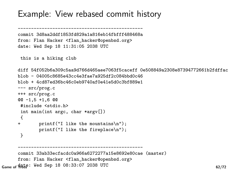#### Example: View rebased commit history

```
-----------------------------------------------
commit 3d8aa2ddf1853fd829a1a816eb14fbfff488468a
from: Flan Hacker <flan_hacker@openbsd.org>
date: Wed Sep 18 11:31:05 2038 UTC
```

```
this is a hiking club
```

```
diff 54f052b6a309c5aa9d766d465aee7063f5caceff 0e508849a2308e87394772661b2fdffac
blob - 04005c8685e43cc4e3fae7a925df2c084bbd0c46
blob + 4cd87ed36bc46c0eb9740af0e41e5d0c3bf889e1
--- src/prog.c
+++ src/prog.c
@@ -1,5 +1,6 @@
 #include <stdio.h>
 int main(int argc, char *argv[])
{
+ printf("I like the mountains\n");
        printf("I like the fireplace\n");
 }
     -----------------------------------------------
```

```
commit 33ab33ecfacdc0a966a6272277a15e8692e80cae (master)
      from: Flan Hacker <flan_hacker@openbsd.org>
G_{\text{ame of}} \frac{4}{3} \frac{4}{3} \frac{1}{3} \frac{1}{3} \frac{1}{3} \frac{33:07}{2} \frac{2038}{3} UTC
```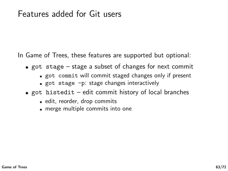#### Features added for Git users

In Game of Trees, these features are supported but optional:

- $\bullet$  got stage stage a subset of changes for next commit
	- got commit will commit staged changes only if present
	- got stage -p: stage changes interactively
- $\bullet$  got histedit edit commit history of local branches
	- edit, reorder, drop commits
	- merge multiple commits into one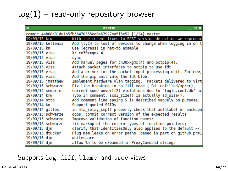# $tog(1)$  – read-only repository browser

| $\overline{\mathbf{v}}$ | $ \Box$ $\times$<br>xterm                                       |
|-------------------------|-----------------------------------------------------------------|
|                         | commit 4ab68d81de1b5fb36470555ea0e67927ea5f5e52 [1/24] master   |
| 19/09/15 krw            | With the recent fixes to SCSI version detection we reproduc     |
| 19/09/15 kettenis       | Add ttyC4 to lost of devices to change when logging in on t     |
| 19/09/15 kn             | Use (egress) in nat-to example                                  |
| 19/09/15 visa           | Xr cn30xxgmx 4                                                  |
| 19/09/15 visa           | sync                                                            |
| 19/09/15 visa           | Add manual pages for cn30xxgmx(4) and octpip(4).                |
| 19/09/15 visa           | Attach packet interfaces to octpip to use fdt.                  |
| 19/09/15 visa           | Add a driver for the packet input processing unit. For now,     |
| 19/09/15 visa           | Add the pip unit into the fdt blob.                             |
| 19/09/15 imatthew       | Implement hardware vlan tagging. Packets delivered to virt      |
| 19/09/15 schwarze       | Fix line breaking in no-fill mode (.Bd -unfilled/ <pre>),</pre> |
| 19/09/14 semarie        | correct some unveil(2) violations due to "login.conf.db" ac     |
| 19/09/14 krw            | Typo in comment. scsi size() is actually sd size().             |
| 19/09/14 otto           | Add comment line saying S is described vaguely on purpose.      |
| 19/09/14 kn             | Support quoted SSIDs                                            |
| 19/09/14 gilles         | in mta relay cmp() properly check that authlabel or backupn     |
| 19/09/13 schwarze       | oops, commit correct version of the expected results            |
| 19/09/13 schwarze       | Improve validation of function names:                           |
| 19/09/13 schwarze       | fix markup of the return types of function pointers;            |
| 19/09/13 dim            | clarify that IdentitiesOnly also applies to the default ~/.     |
| 19/09/13 dtucker        | Plug mem leaks on error paths, based in part on github pr#1     |
| 19/09/13 djm            | whitespace                                                      |
| 19/09/13 djm            | allow %n to be expanded in ProxyCommand strings                 |

#### Supports log, diff, blame, and tree views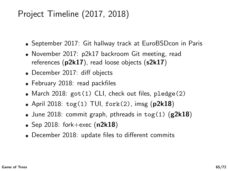# Project Timeline (2017, 2018)

- September 2017: Git hallway track at EuroBSDcon in Paris
- November 2017: p2k17 backroom Git meeting, read references (p2k17), read loose objects (s2k17)
- December 2017: diff objects
- February 2018: read packfiles
- March 2018: got (1) CLI, check out files, pledge (2)
- April 2018:  $\text{tog}(1)$  TUI,  $\text{fork}(2)$ , imsg (p2k18)
- June 2018: commit graph, pthreads in tog(1) ( $g2k18$ )
- Sep 2018: fork $+$ exec (n2k18)
- December 2018: update files to different commits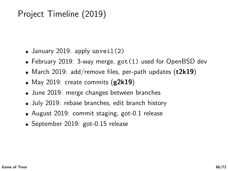# Project Timeline (2019)

- January 2019: apply unveil(2)
- February 2019: 3-way merge, got(1) used for OpenBSD dev
- March 2019: add/remove files, per-path updates  $(t2k19)$
- May 2019: create commits  $(g2k19)$
- June 2019: merge changes between branches
- July 2019: rebase branches, edit branch history
- August 2019: commit staging, got-0.1 release
- September 2019: got-0.15 release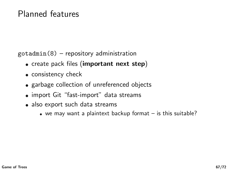#### Planned features

 $\text{gotadmin}(8)$  – repository administration

- create pack files (important next step)
- consistency check
- garbage collection of unreferenced objects
- import Git "fast-import" data streams
- also export such data streams
	- we may want a plaintext backup format is this suitable?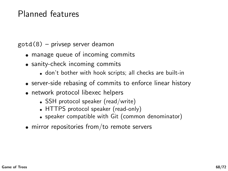#### Planned features

gotd(8) – privsep server deamon

- manage queue of incoming commits
- sanity-check incoming commits
	- don't bother with hook scripts; all checks are built-in
- server-side rebasing of commits to enforce linear history
- network protocol libexec helpers
	- SSH protocol speaker (read/write)
	- HTTPS protocol speaker (read-only)
	- speaker compatible with Git (common denominator)
- mirror repositories from/to remote servers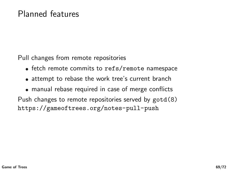Pull changes from remote repositories

- fetch remote commits to refs/remote namespace
- attempt to rebase the work tree's current branch
- manual rebase required in case of merge conflicts

Push changes to remote repositories served by gotd(8) <https://gameoftrees.org/notes-pull-push>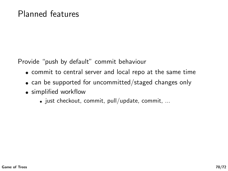Provide "push by default" commit behaviour

- commit to central server and local repo at the same time
- can be supported for uncommitted/staged changes only
- simplified workflow
	- $\bullet$  just checkout, commit, pull/update, commit, ...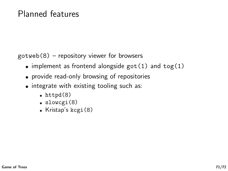#### Planned features

 $gotweb(8)$  – repository viewer for browsers

- implement as frontend alongside  $got(1)$  and  $tog(1)$
- provide read-only browsing of repositories
- $\bullet$  integrate with existing tooling such as:
	- $\bullet$  httpd $(8)$
	- slowcgi(8)
	- $\bullet$  Kristap's kcgi $(8)$